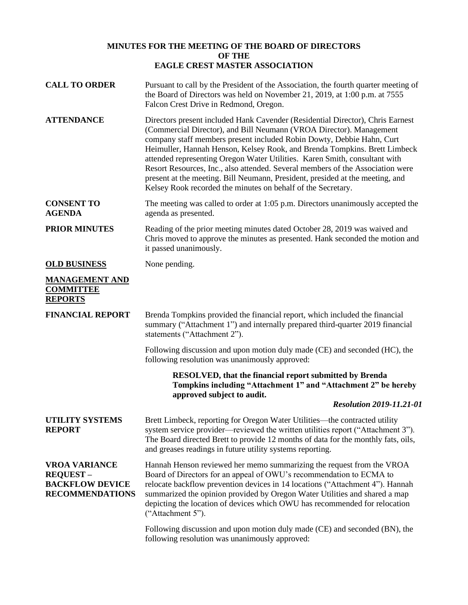## **MINUTES FOR THE MEETING OF THE BOARD OF DIRECTORS OF THE EAGLE CREST MASTER ASSOCIATION**

| <b>CALL TO ORDER</b>                                                                        | Pursuant to call by the President of the Association, the fourth quarter meeting of<br>the Board of Directors was held on November 21, 2019, at 1:00 p.m. at 7555<br>Falcon Crest Drive in Redmond, Oregon.                                                                                                                                                                                                                                                                                                                                                                                                                  |
|---------------------------------------------------------------------------------------------|------------------------------------------------------------------------------------------------------------------------------------------------------------------------------------------------------------------------------------------------------------------------------------------------------------------------------------------------------------------------------------------------------------------------------------------------------------------------------------------------------------------------------------------------------------------------------------------------------------------------------|
| <b>ATTENDANCE</b>                                                                           | Directors present included Hank Cavender (Residential Director), Chris Earnest<br>(Commercial Director), and Bill Neumann (VROA Director). Management<br>company staff members present included Robin Dowty, Debbie Hahn, Curt<br>Heimuller, Hannah Henson, Kelsey Rook, and Brenda Tompkins. Brett Limbeck<br>attended representing Oregon Water Utilities. Karen Smith, consultant with<br>Resort Resources, Inc., also attended. Several members of the Association were<br>present at the meeting. Bill Neumann, President, presided at the meeting, and<br>Kelsey Rook recorded the minutes on behalf of the Secretary. |
| <b>CONSENT TO</b><br><b>AGENDA</b>                                                          | The meeting was called to order at 1:05 p.m. Directors unanimously accepted the<br>agenda as presented.                                                                                                                                                                                                                                                                                                                                                                                                                                                                                                                      |
| <b>PRIOR MINUTES</b>                                                                        | Reading of the prior meeting minutes dated October 28, 2019 was waived and<br>Chris moved to approve the minutes as presented. Hank seconded the motion and<br>it passed unanimously.                                                                                                                                                                                                                                                                                                                                                                                                                                        |
| <b>OLD BUSINESS</b>                                                                         | None pending.                                                                                                                                                                                                                                                                                                                                                                                                                                                                                                                                                                                                                |
| <b>MANAGEMENT AND</b><br><b>COMMITTEE</b><br><b>REPORTS</b>                                 |                                                                                                                                                                                                                                                                                                                                                                                                                                                                                                                                                                                                                              |
| <b>FINANCIAL REPORT</b>                                                                     | Brenda Tompkins provided the financial report, which included the financial<br>summary ("Attachment 1") and internally prepared third-quarter 2019 financial<br>statements ("Attachment 2").                                                                                                                                                                                                                                                                                                                                                                                                                                 |
|                                                                                             | Following discussion and upon motion duly made (CE) and seconded (HC), the<br>following resolution was unanimously approved:                                                                                                                                                                                                                                                                                                                                                                                                                                                                                                 |
|                                                                                             | <b>RESOLVED, that the financial report submitted by Brenda</b><br>Tompkins including "Attachment 1" and "Attachment 2" be hereby<br>approved subject to audit.                                                                                                                                                                                                                                                                                                                                                                                                                                                               |
|                                                                                             | <b>Resolution 2019-11.21-01</b>                                                                                                                                                                                                                                                                                                                                                                                                                                                                                                                                                                                              |
| <b>UTILITY SYSTEMS</b><br><b>REPORT</b>                                                     | Brett Limbeck, reporting for Oregon Water Utilities—the contracted utility<br>system service provider—reviewed the written utilities report ("Attachment 3").<br>The Board directed Brett to provide 12 months of data for the monthly fats, oils,<br>and greases readings in future utility systems reporting.                                                                                                                                                                                                                                                                                                              |
| <b>VROA VARIANCE</b><br><b>REQUEST-</b><br><b>BACKFLOW DEVICE</b><br><b>RECOMMENDATIONS</b> | Hannah Henson reviewed her memo summarizing the request from the VROA<br>Board of Directors for an appeal of OWU's recommendation to ECMA to<br>relocate backflow prevention devices in 14 locations ("Attachment 4"). Hannah<br>summarized the opinion provided by Oregon Water Utilities and shared a map<br>depicting the location of devices which OWU has recommended for relocation<br>("Attachment 5").                                                                                                                                                                                                               |
|                                                                                             | Following discussion and upon motion duly made (CE) and seconded (BN), the<br>following resolution was unanimously approved:                                                                                                                                                                                                                                                                                                                                                                                                                                                                                                 |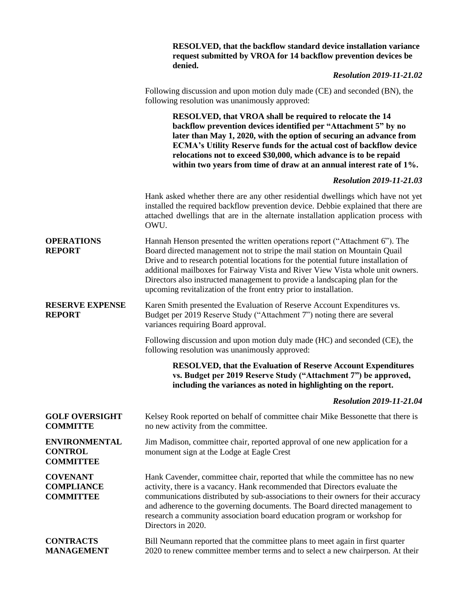|                                                            | RESOLVED, that the backflow standard device installation variance<br>request submitted by VROA for 14 backflow prevention devices be<br>denied.                                                                                                                                                                                                                                                                                                                                      |
|------------------------------------------------------------|--------------------------------------------------------------------------------------------------------------------------------------------------------------------------------------------------------------------------------------------------------------------------------------------------------------------------------------------------------------------------------------------------------------------------------------------------------------------------------------|
|                                                            | <b>Resolution 2019-11-21.02</b>                                                                                                                                                                                                                                                                                                                                                                                                                                                      |
|                                                            | Following discussion and upon motion duly made (CE) and seconded (BN), the<br>following resolution was unanimously approved:                                                                                                                                                                                                                                                                                                                                                         |
|                                                            | RESOLVED, that VROA shall be required to relocate the 14<br>backflow prevention devices identified per "Attachment 5" by no<br>later than May 1, 2020, with the option of securing an advance from<br><b>ECMA's Utility Reserve funds for the actual cost of backflow device</b><br>relocations not to exceed \$30,000, which advance is to be repaid<br>within two years from time of draw at an annual interest rate of 1%.                                                        |
|                                                            | <b>Resolution 2019-11-21.03</b>                                                                                                                                                                                                                                                                                                                                                                                                                                                      |
|                                                            | Hank asked whether there are any other residential dwellings which have not yet<br>installed the required backflow prevention device. Debbie explained that there are<br>attached dwellings that are in the alternate installation application process with<br>OWU.                                                                                                                                                                                                                  |
| <b>OPERATIONS</b><br><b>REPORT</b>                         | Hannah Henson presented the written operations report ("Attachment 6"). The<br>Board directed management not to stripe the mail station on Mountain Quail<br>Drive and to research potential locations for the potential future installation of<br>additional mailboxes for Fairway Vista and River View Vista whole unit owners.<br>Directors also instructed management to provide a landscaping plan for the<br>upcoming revitalization of the front entry prior to installation. |
| <b>RESERVE EXPENSE</b><br><b>REPORT</b>                    | Karen Smith presented the Evaluation of Reserve Account Expenditures vs.<br>Budget per 2019 Reserve Study ("Attachment 7") noting there are several<br>variances requiring Board approval.                                                                                                                                                                                                                                                                                           |
|                                                            | Following discussion and upon motion duly made (HC) and seconded (CE), the<br>following resolution was unanimously approved:                                                                                                                                                                                                                                                                                                                                                         |
|                                                            | <b>RESOLVED, that the Evaluation of Reserve Account Expenditures</b><br>vs. Budget per 2019 Reserve Study ("Attachment 7") be approved,<br>including the variances as noted in highlighting on the report.                                                                                                                                                                                                                                                                           |
|                                                            | <b>Resolution 2019-11-21.04</b>                                                                                                                                                                                                                                                                                                                                                                                                                                                      |
| <b>GOLF OVERSIGHT</b><br><b>COMMITTE</b>                   | Kelsey Rook reported on behalf of committee chair Mike Bessonette that there is<br>no new activity from the committee.                                                                                                                                                                                                                                                                                                                                                               |
| <b>ENVIRONMENTAL</b><br><b>CONTROL</b><br><b>COMMITTEE</b> | Jim Madison, committee chair, reported approval of one new application for a<br>monument sign at the Lodge at Eagle Crest                                                                                                                                                                                                                                                                                                                                                            |
| <b>COVENANT</b><br><b>COMPLIANCE</b><br><b>COMMITTEE</b>   | Hank Cavender, committee chair, reported that while the committee has no new<br>activity, there is a vacancy. Hank recommended that Directors evaluate the<br>communications distributed by sub-associations to their owners for their accuracy<br>and adherence to the governing documents. The Board directed management to<br>research a community association board education program or workshop for<br>Directors in 2020.                                                      |
| <b>CONTRACTS</b><br><b>MANAGEMENT</b>                      | Bill Neumann reported that the committee plans to meet again in first quarter<br>2020 to renew committee member terms and to select a new chairperson. At their                                                                                                                                                                                                                                                                                                                      |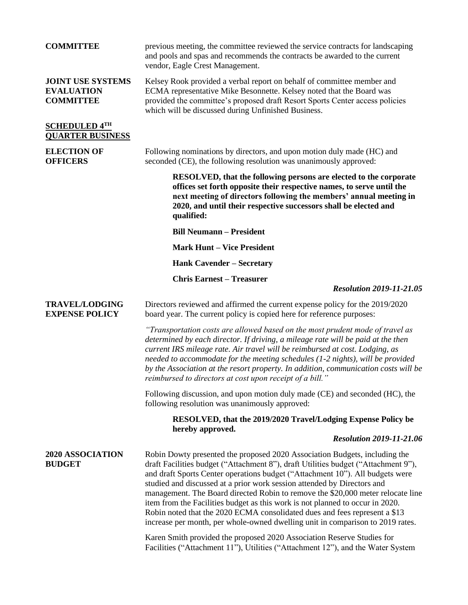| <b>COMMITTEE</b>                                                  | previous meeting, the committee reviewed the service contracts for landscaping<br>and pools and spas and recommends the contracts be awarded to the current<br>vendor, Eagle Crest Management.                                                                                                                                                                                                                                                                                                                                                                                                                                                                   |
|-------------------------------------------------------------------|------------------------------------------------------------------------------------------------------------------------------------------------------------------------------------------------------------------------------------------------------------------------------------------------------------------------------------------------------------------------------------------------------------------------------------------------------------------------------------------------------------------------------------------------------------------------------------------------------------------------------------------------------------------|
| <b>JOINT USE SYSTEMS</b><br><b>EVALUATION</b><br><b>COMMITTEE</b> | Kelsey Rook provided a verbal report on behalf of committee member and<br>ECMA representative Mike Besonnette. Kelsey noted that the Board was<br>provided the committee's proposed draft Resort Sports Center access policies<br>which will be discussed during Unfinished Business.                                                                                                                                                                                                                                                                                                                                                                            |
| <b>SCHEDULED 4TH</b><br><b>QUARTER BUSINESS</b>                   |                                                                                                                                                                                                                                                                                                                                                                                                                                                                                                                                                                                                                                                                  |
| <b>ELECTION OF</b><br><b>OFFICERS</b>                             | Following nominations by directors, and upon motion duly made (HC) and<br>seconded (CE), the following resolution was unanimously approved:                                                                                                                                                                                                                                                                                                                                                                                                                                                                                                                      |
|                                                                   | RESOLVED, that the following persons are elected to the corporate<br>offices set forth opposite their respective names, to serve until the<br>next meeting of directors following the members' annual meeting in<br>2020, and until their respective successors shall be elected and<br>qualified:                                                                                                                                                                                                                                                                                                                                                               |
|                                                                   | <b>Bill Neumann - President</b>                                                                                                                                                                                                                                                                                                                                                                                                                                                                                                                                                                                                                                  |
|                                                                   | <b>Mark Hunt - Vice President</b>                                                                                                                                                                                                                                                                                                                                                                                                                                                                                                                                                                                                                                |
|                                                                   | <b>Hank Cavender - Secretary</b>                                                                                                                                                                                                                                                                                                                                                                                                                                                                                                                                                                                                                                 |
|                                                                   | <b>Chris Earnest - Treasurer</b><br><b>Resolution 2019-11-21.05</b>                                                                                                                                                                                                                                                                                                                                                                                                                                                                                                                                                                                              |
| <b>TRAVEL/LODGING</b><br><b>EXPENSE POLICY</b>                    | Directors reviewed and affirmed the current expense policy for the 2019/2020<br>board year. The current policy is copied here for reference purposes:                                                                                                                                                                                                                                                                                                                                                                                                                                                                                                            |
|                                                                   | "Transportation costs are allowed based on the most prudent mode of travel as<br>determined by each director. If driving, a mileage rate will be paid at the then<br>current IRS mileage rate. Air travel will be reimbursed at cost. Lodging, as<br>needed to accommodate for the meeting schedules (1-2 nights), will be provided<br>by the Association at the resort property. In addition, communication costs will be<br>reimbursed to directors at cost upon receipt of a bill."                                                                                                                                                                           |
|                                                                   | Following discussion, and upon motion duly made (CE) and seconded (HC), the<br>following resolution was unanimously approved:                                                                                                                                                                                                                                                                                                                                                                                                                                                                                                                                    |
|                                                                   | RESOLVED, that the 2019/2020 Travel/Lodging Expense Policy be<br>hereby approved.                                                                                                                                                                                                                                                                                                                                                                                                                                                                                                                                                                                |
|                                                                   | <b>Resolution 2019-11-21.06</b>                                                                                                                                                                                                                                                                                                                                                                                                                                                                                                                                                                                                                                  |
| 2020 ASSOCIATION<br><b>BUDGET</b>                                 | Robin Dowty presented the proposed 2020 Association Budgets, including the<br>draft Facilities budget ("Attachment 8"), draft Utilities budget ("Attachment 9"),<br>and draft Sports Center operations budget ("Attachment 10"). All budgets were<br>studied and discussed at a prior work session attended by Directors and<br>management. The Board directed Robin to remove the \$20,000 meter relocate line<br>item from the Facilities budget as this work is not planned to occur in 2020.<br>Robin noted that the 2020 ECMA consolidated dues and fees represent a \$13<br>increase per month, per whole-owned dwelling unit in comparison to 2019 rates. |
|                                                                   | Karen Smith provided the proposed 2020 Association Reserve Studies for<br>Facilities ("Attachment 11"), Utilities ("Attachment 12"), and the Water System                                                                                                                                                                                                                                                                                                                                                                                                                                                                                                        |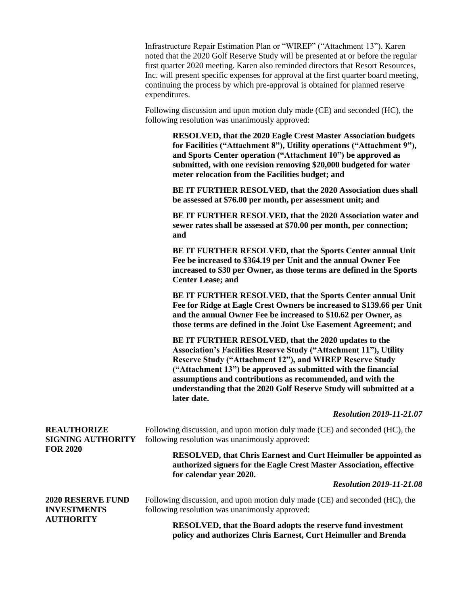Infrastructure Repair Estimation Plan or "WIREP" ("Attachment 13"). Karen noted that the 2020 Golf Reserve Study will be presented at or before the regular first quarter 2020 meeting. Karen also reminded directors that Resort Resources, Inc. will present specific expenses for approval at the first quarter board meeting, continuing the process by which pre-approval is obtained for planned reserve expenditures.

Following discussion and upon motion duly made (CE) and seconded (HC), the following resolution was unanimously approved:

> **RESOLVED, that the 2020 Eagle Crest Master Association budgets for Facilities ("Attachment 8"), Utility operations ("Attachment 9"), and Sports Center operation ("Attachment 10") be approved as submitted, with one revision removing \$20,000 budgeted for water meter relocation from the Facilities budget; and**

> **BE IT FURTHER RESOLVED, that the 2020 Association dues shall be assessed at \$76.00 per month, per assessment unit; and**

> **BE IT FURTHER RESOLVED, that the 2020 Association water and sewer rates shall be assessed at \$70.00 per month, per connection; and**

> **BE IT FURTHER RESOLVED, that the Sports Center annual Unit Fee be increased to \$364.19 per Unit and the annual Owner Fee increased to \$30 per Owner, as those terms are defined in the Sports Center Lease; and**

**BE IT FURTHER RESOLVED, that the Sports Center annual Unit Fee for Ridge at Eagle Crest Owners be increased to \$139.66 per Unit and the annual Owner Fee be increased to \$10.62 per Owner, as those terms are defined in the Joint Use Easement Agreement; and**

**BE IT FURTHER RESOLVED, that the 2020 updates to the Association's Facilities Reserve Study ("Attachment 11"), Utility Reserve Study ("Attachment 12"), and WIREP Reserve Study ("Attachment 13") be approved as submitted with the financial assumptions and contributions as recommended, and with the understanding that the 2020 Golf Reserve Study will submitted at a later date.**

## *Resolution 2019-11-21.07*

**REAUTHORIZE SIGNING AUTHORITY FOR 2020** Following discussion, and upon motion duly made (CE) and seconded (HC), the following resolution was unanimously approved: **RESOLVED, that Chris Earnest and Curt Heimuller be appointed as authorized signers for the Eagle Crest Master Association, effective for calendar year 2020.**  *Resolution 2019-11-21.08* **2020 RESERVE FUND INVESTMENTS AUTHORITY** Following discussion, and upon motion duly made (CE) and seconded (HC), the following resolution was unanimously approved: **RESOLVED, that the Board adopts the reserve fund investment policy and authorizes Chris Earnest, Curt Heimuller and Brenda**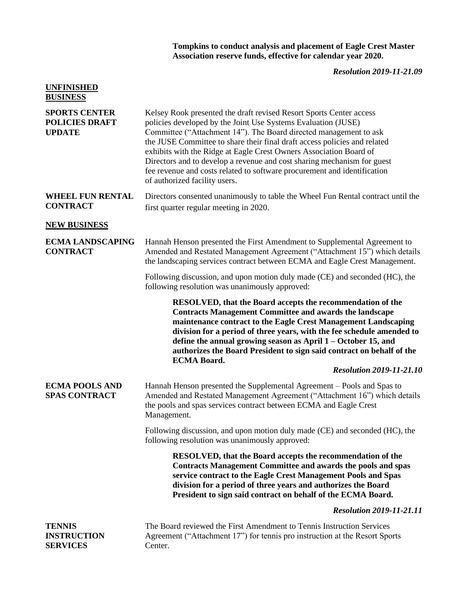## **Tompkins to conduct analysis and placement of Eagle Crest Master Association reserve funds, effective for calendar year 2020.**

## *Resolution 2019-11-21.09*

| <b>UNFINISHED</b><br><b>BUSINESS</b>                           |                                                                                                                                                                                                                                                                                                                                                                                                                                                                                                                                                      |
|----------------------------------------------------------------|------------------------------------------------------------------------------------------------------------------------------------------------------------------------------------------------------------------------------------------------------------------------------------------------------------------------------------------------------------------------------------------------------------------------------------------------------------------------------------------------------------------------------------------------------|
| <b>SPORTS CENTER</b><br><b>POLICIES DRAFT</b><br><b>UPDATE</b> | Kelsey Rook presented the draft revised Resort Sports Center access<br>policies developed by the Joint Use Systems Evaluation (JUSE)<br>Committee ("Attachment 14"). The Board directed management to ask<br>the JUSE Committee to share their final draft access policies and related<br>exhibits with the Ridge at Eagle Crest Owners Association Board of<br>Directors and to develop a revenue and cost sharing mechanism for guest<br>fee revenue and costs related to software procurement and identification<br>of authorized facility users. |
| <b>WHEEL FUN RENTAL</b><br><b>CONTRACT</b>                     | Directors consented unanimously to table the Wheel Fun Rental contract until the<br>first quarter regular meeting in 2020.                                                                                                                                                                                                                                                                                                                                                                                                                           |
| <b>NEW BUSINESS</b>                                            |                                                                                                                                                                                                                                                                                                                                                                                                                                                                                                                                                      |
| <b>ECMA LANDSCAPING</b><br><b>CONTRACT</b>                     | Hannah Henson presented the First Amendment to Supplemental Agreement to<br>Amended and Restated Management Agreement ("Attachment 15") which details<br>the landscaping services contract between ECMA and Eagle Crest Management.                                                                                                                                                                                                                                                                                                                  |
|                                                                | Following discussion, and upon motion duly made (CE) and seconded (HC), the<br>following resolution was unanimously approved:                                                                                                                                                                                                                                                                                                                                                                                                                        |
|                                                                | <b>RESOLVED, that the Board accepts the recommendation of the</b><br><b>Contracts Management Committee and awards the landscape</b><br>maintenance contract to the Eagle Crest Management Landscaping<br>division for a period of three years, with the fee schedule amended to<br>define the annual growing season as April $1 -$ October 15, and<br>authorizes the Board President to sign said contract on behalf of the<br><b>ECMA Board.</b>                                                                                                    |
|                                                                | <b>Resolution 2019-11-21.10</b>                                                                                                                                                                                                                                                                                                                                                                                                                                                                                                                      |
| <b>ECMA POOLS AND</b><br><b>SPAS CONTRACT</b>                  | Hannah Henson presented the Supplemental Agreement – Pools and Spas to<br>Amended and Restated Management Agreement ("Attachment 16") which details<br>the pools and spas services contract between ECMA and Eagle Crest<br>Management.                                                                                                                                                                                                                                                                                                              |
|                                                                | Following discussion, and upon motion duly made (CE) and seconded (HC), the<br>following resolution was unanimously approved:                                                                                                                                                                                                                                                                                                                                                                                                                        |
|                                                                | <b>RESOLVED, that the Board accepts the recommendation of the</b><br><b>Contracts Management Committee and awards the pools and spas</b><br>service contract to the Eagle Crest Management Pools and Spas<br>division for a period of three years and authorizes the Board<br>President to sign said contract on behalf of the ECMA Board.                                                                                                                                                                                                           |
|                                                                | <b>Resolution 2019-11-21.11</b>                                                                                                                                                                                                                                                                                                                                                                                                                                                                                                                      |
| <b>TENNIS</b><br><b>INSTRUCTION</b><br><b>SERVICES</b>         | The Board reviewed the First Amendment to Tennis Instruction Services<br>Agreement ("Attachment 17") for tennis pro instruction at the Resort Sports<br>Center.                                                                                                                                                                                                                                                                                                                                                                                      |